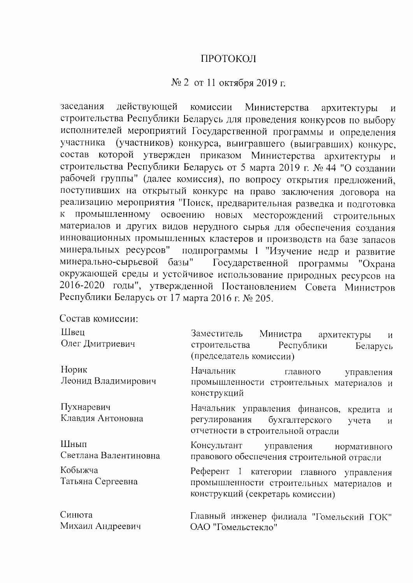## ПРОТОКОЛ

## $\mathcal{N}_2$  2 от 11 октября 2019 г.

заседания действующей комиссии Министерства архитектуры  $\boldsymbol{M}$ строительства Республики Беларусь для проведения конкурсов по выбору исполнителей мероприятий Государственной программы и определения (участников) конкурса, выигравшего (выигравших) конкурс, участника которой утвержден приказом Министерства состав архитектуры строительства Республики Беларусь от 5 марта 2019 г. № 44 "О создании рабочей группы" (далее комиссия), по вопросу открытия предложений, поступивших на открытый конкурс на право заключения договора на реализацию мероприятия "Поиск, предварительная разведка и подготовка промышленному освоению новых месторождений строительных материалов и других видов нерудного сырья для обеспечения создания инновационных промышленных кластеров и производств на базе запасов подпрограммы 1 "Изучение недр и развитие минеральных ресурсов" Государственной программы "Охрана минерально-сырьевой базы" окружающей среды и устойчивое использование природных ресурсов на 2016-2020 годы", утвержденной Постановлением Совета Министров Республики Беларусь от 17 марта 2016 г. № 205.

## Состав комиссии:

| Швец<br>Олег Дмитриевич         | Заместитель<br>Министра архитектуры<br>$\overline{M}$<br>строительства Республики<br>Беларусь<br>(председатель комиссии)               |  |  |  |
|---------------------------------|----------------------------------------------------------------------------------------------------------------------------------------|--|--|--|
| Норик<br>Леонид Владимирович    | Начальник<br>главного<br>управления<br>промышленности строительных материалов и<br>конструкций                                         |  |  |  |
| Пухнаревич<br>Клавдия Антоновна | Начальник управления финансов, кредита и<br>регулирования бухгалтерского<br>учета<br>$\mathbf{M}$<br>отчетности в строительной отрасли |  |  |  |
| Шнып<br>Светлана Валентиновна   | Консультант управления нормативного<br>правового обеспечения строительной отрасли                                                      |  |  |  |
| Кобыжча<br>Татьяна Сергеевна    | Референт 1 категории главного управления<br>промышленности строительных материалов и<br>конструкций (секретарь комиссии)               |  |  |  |
| Синюта<br>Михаил Андреевич      | Главный инженер филиала "Гомельский ГОК"<br>ОАО "Гомельстекло"                                                                         |  |  |  |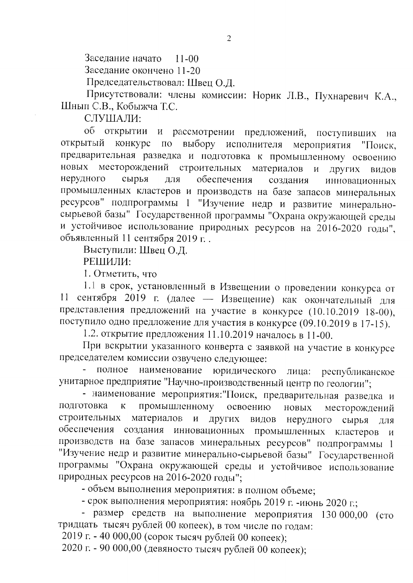Заседание начато  $11 - 00$ 

Заседание окончено 11-20

Председательствовал: Швец О.Д.

Присутствовали: члены комиссии: Норик Л.В., Пухнаревич К.А., Шнып С.В., Кобыжча Т.С.

СЛУШАЛИ:

об открытии и рассмотрении предложений, поступивших на открытый конкурс  $\overline{10}$ выбору исполнителя мероприятия "Поиск, предварительная разведка и подготовка к промышленному освоению месторождений строительных материалов новых  $\overline{M}$ других видов нерудного сырья обеспечения ДЛЯ создания инновационных промышленных кластеров и производств на базе запасов минеральных ресурсов" подпрограммы 1 "Изучение недр и развитие минеральносырьевой базы" Государственной программы "Охрана окружающей среды и устойчивое использование природных ресурсов на 2016-2020 годы", объявленный 11 сентября 2019 г.

Выступили: Швец О.Д.

РЕШИЛИ:

1. Отметить, что

1.1 в срок, установленный в Извещении о проведении конкурса от 11 сентября 2019 г. (далее - Извещение) как окончательный для представления предложений на участие в конкурсе (10.10.2019 18-00), поступило одно предложение для участия в конкурсе (09.10.2019 в 17-15).

1.2. открытие предложения 11.10.2019 началось в 11-00.

При вскрытии указанного конверта с заявкой на участие в конкурсе председателем комиссии озвучено следующее:

полное наименование юридического лица: республиканское унитарное предприятие "Научно-производственный центр по геологии";

- наименование мероприятия: "Поиск, предварительная разведка и промышленному подготовка  $\overline{\mathbf{K}}$ освоению новых месторождений строительных материалов  $\mathbf{H}$ других ВИДОВ нерудного сырья для обеспечения создания инновационных промышленных кластеров  $\overline{M}$ производств на базе запасов минеральных ресурсов" подпрограммы 1 "Изучение недр и развитие минерально-сырьевой базы" Государственной программы "Охрана окружающей среды и устойчивое использование природных ресурсов на 2016-2020 годы";

- объем выполнения мероприятия: в полном объеме;

- срок выполнения мероприятия: ноябрь 2019 г. -июнь 2020 г.;

- размер средств на выполнение мероприятия 130 000,00 (сто тридцать тысяч рублей 00 копеек), в том числе по годам:

2019 г. - 40 000,00 (сорок тысяч рублей 00 копеек);

2020 г. - 90 000,00 (девяносто тысяч рублей 00 копеек):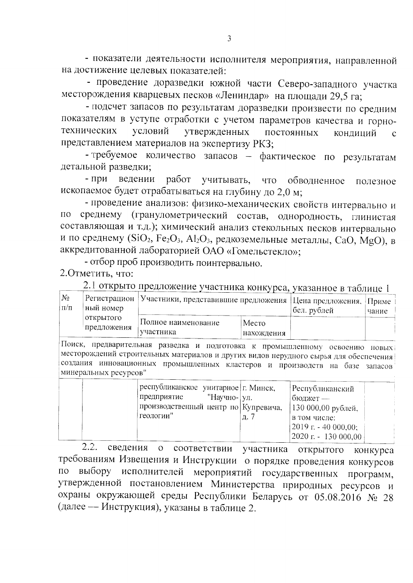- показатели деятельности исполнителя мероприятия, направленной на достижение целевых показателей:

- проведение доразведки южной части Северо-западного участка месторождения кварцевых песков «Лениндар» на площади 29,5 га;

- подсчет запасов по результатам доразведки произвести по средним показателям в уступе отработки с учетом параметров качества и горноусловий технических утвержденных постоянных кондиций представлением материалов на экспертизу РКЗ;

- требуемое количество запасов - фактическое по результатам детальной разведки;

- при ведении работ учитывать, что обводненное полезное ископаемое будет отрабатываться на глубину до 2,0 м;

- проведение анализов: физико-механических свойств интервально и среднему (гранулометрический состав, однородность, глинистая  $\Pi$ O составляющая и т.д.); химический анализ стекольных песков интервально и по среднему (SiO<sub>2</sub>, Fe<sub>2</sub>O<sub>3</sub>, Al<sub>2</sub>O<sub>3</sub>, редкоземельные металлы, CaO, MgO), в аккредитованной лабораторией ОАО «Гомельстекло»;

- отбор проб производить поинтервально.

2. Отметить, что:

2.1 открыто предложение участника конкурса, указанное в таблице 1

| $N_2$<br>$ $ Регистрацион<br>ный номер<br>$\Pi/\Pi$<br>открытого<br>предложения |                                  | Участники, представившие предложения |  | Нена предложения, Приме<br>бел. рублей | чание |
|---------------------------------------------------------------------------------|----------------------------------|--------------------------------------|--|----------------------------------------|-------|
|                                                                                 | Полное наименование<br>участника | Место<br>нахождения                  |  |                                        |       |

Поиск, предварительная разведка и подготовка к промышленному освоению новых месторождений строительных материалов и других видов нерудного сырья для обеспечения создания инновационных промышленных кластеров и производств на базе запасов минеральных ресурсов"

| республиканское унитарное   г. Минск,<br>"Научно- ул.<br>предприятие<br>производственный центр по Купревича,<br>геологии" | Республиканский<br>бюджет —<br>  130 000,00 рублей,<br>в том числе:<br>$(2019 \text{ r.} - 40000,00)$ |
|---------------------------------------------------------------------------------------------------------------------------|-------------------------------------------------------------------------------------------------------|
|                                                                                                                           | $(2020 r - 130 000, 00)$                                                                              |

2.2. сведения о соответствии участника открытого конкурса требованиям Извещения и Инструкции о порядке проведения конкурсов исполнителей мероприятий государственных программ,  $\overline{10}$ выбору утвержденной постановлением Министерства природных ресурсов и охраны окружающей среды Республики Беларусь от 05.08.2016 № 28 (далее - Инструкция), указаны в таблице 2.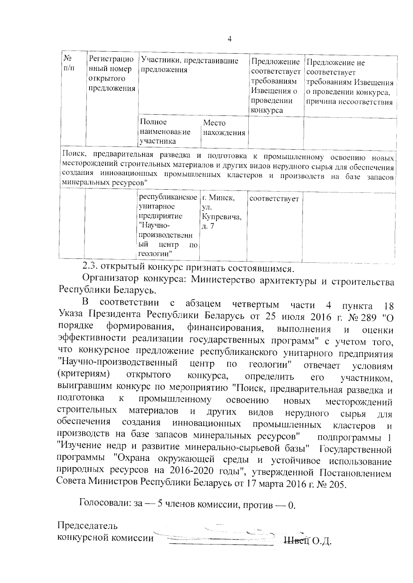| $N_2$<br>$\Pi/\Pi$ | Регистрацио<br>нный номер<br>открытого<br>предложения | Участники, представившие<br>предложения |                     | Предложение<br>соответствует<br>требованиям<br>Извещения о<br>проведении<br>конкурса | Предложение не<br>соответствует<br>требованиям Извещения<br>о проведении конкурса,<br>причина несоответствия |
|--------------------|-------------------------------------------------------|-----------------------------------------|---------------------|--------------------------------------------------------------------------------------|--------------------------------------------------------------------------------------------------------------|
|                    |                                                       | Полное<br>наименование<br>участника     | Место<br>нахождения |                                                                                      |                                                                                                              |

Поиск, предварительная разведка и подготовка к промышленному освоению новых месторождений строительных материалов и других видов нерудного сырья для обеспечения создания инновационных промышленных кластеров и производств на базе запасов минеральных ресурсов"

|  | республиканское   г. Минск, |            | соответствует |  |
|--|-----------------------------|------------|---------------|--|
|  | унитарное                   | УЛ.        |               |  |
|  | предприятие                 | Купревича, |               |  |
|  | "Научно-                    | Д.         |               |  |
|  | производственн              |            |               |  |
|  | ый<br>центр<br>ΠО           |            |               |  |
|  | геологии"                   |            |               |  |

2.3. открытый конкурс признать состоявшимся.

Организатор конкурса: Министерство архитектуры и строительства Республики Беларусь.

B. соответствии  $\mathbf{c}$ абзацем четвертым части пункта  $\overline{4}$ 18 Указа Президента Республики Беларусь от 25 июля 2016 г. № 289 "О порядке формирования, финансирования, выполнения  $\mathbf{M}$ оценки эффективности реализации государственных программ" с учетом того, что конкурсное предложение республиканского унитарного предприятия "Научно-производственный центр геологии"  $\overline{10}$ отвечает условиям конкурса, (критериям) открытого определить  $er<sub>o</sub>$ участником. выигравшим конкурс по мероприятию "Поиск, предварительная разведка и промышленному подготовка  $\rm K$ освоению **НОВЫХ** месторождений строительных материалов  $\mathbf{M}$ Других видов нерудного сырья ЛЛЯ обеспечения создания инновационных промышленных кластеров  $\boldsymbol{\mathsf{M}}$ производств на базе запасов минеральных ресурсов" подпрограммы 1 "Изучение недр и развитие минерально-сырьевой базы" Государственной "Охрана окружающей среды и устойчивое использование программы природных ресурсов на 2016-2020 годы", утвержденной Постановлением Совета Министров Республики Беларусь от 17 марта 2016 г. № 205.

Голосовали: за - 5 членов комиссии, против - 0.

Председатель конкурсной комиссии Швец О.Д.